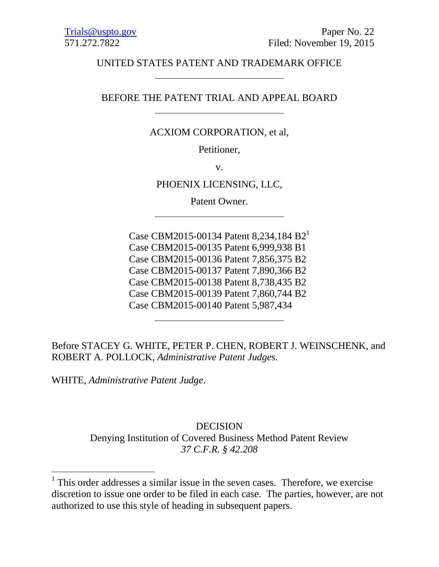# UNITED STATES PATENT AND TRADEMARK OFFICE

# BEFORE THE PATENT TRIAL AND APPEAL BOARD

## ACXIOM CORPORATION, et al,

Petitioner,

v.

PHOENIX LICENSING, LLC,

Patent Owner.

Case CBM2015-00134 Patent 8,234,184 B2<sup>1</sup> Case CBM2015-00135 Patent 6,999,938 B1 Case CBM2015-00136 Patent 7,856,375 B2 Case CBM2015-00137 Patent 7,890,366 B2 Case CBM2015-00138 Patent 8,738,435 B2 Case CBM2015-00139 Patent 7,860,744 B2 Case CBM2015-00140 Patent 5,987,434

Before STACEY G. WHITE, PETER P. CHEN, ROBERT J. WEINSCHENK, and ROBERT A. POLLOCK, *Administrative Patent Judges.*

WHITE, *Administrative Patent Judge*.

 $\overline{a}$ 

DECISION Denying Institution of Covered Business Method Patent Review *37 C.F.R. § 42.208*

 $<sup>1</sup>$  This order addresses a similar issue in the seven cases. Therefore, we exercise</sup> discretion to issue one order to be filed in each case. The parties, however, are not authorized to use this style of heading in subsequent papers.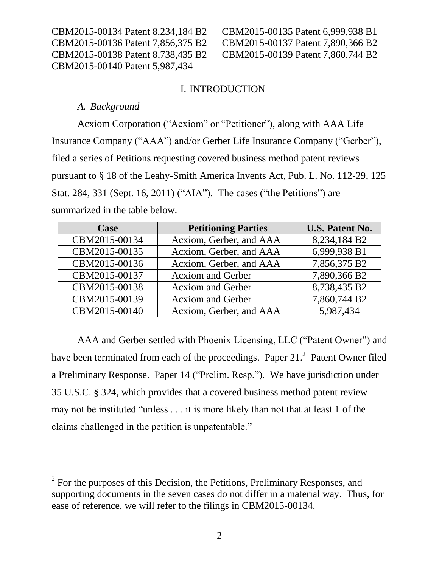CBM2015-00140 Patent 5,987,434

CBM2015-00134 Patent 8,234,184 B2 CBM2015-00135 Patent 6,999,938 B1 CBM2015-00136 Patent 7,856,375 B2 CBM2015-00137 Patent 7,890,366 B2 CBM2015-00138 Patent 8,738,435 B2 CBM2015-00139 Patent 7,860,744 B2

## I. INTRODUCTION

### *A. Background*

 $\overline{a}$ 

Acxiom Corporation ("Acxiom" or "Petitioner"), along with AAA Life Insurance Company ("AAA") and/or Gerber Life Insurance Company ("Gerber"), filed a series of Petitions requesting covered business method patent reviews pursuant to § 18 of the Leahy-Smith America Invents Act, Pub. L. No. 112-29, 125 Stat. 284, 331 (Sept. 16, 2011) ("AIA"). The cases ("the Petitions") are summarized in the table below.

| Case          | <b>Petitioning Parties</b> | <b>U.S. Patent No.</b> |
|---------------|----------------------------|------------------------|
| CBM2015-00134 | Acxiom, Gerber, and AAA    | 8,234,184 B2           |
| CBM2015-00135 | Acxiom, Gerber, and AAA    | 6,999,938 B1           |
| CBM2015-00136 | Acxiom, Gerber, and AAA    | 7,856,375 B2           |
| CBM2015-00137 | <b>Acxiom and Gerber</b>   | 7,890,366 B2           |
| CBM2015-00138 | <b>Acxiom</b> and Gerber   | 8,738,435 B2           |
| CBM2015-00139 | <b>Acxiom and Gerber</b>   | 7,860,744 B2           |
| CBM2015-00140 | Acxiom, Gerber, and AAA    | 5,987,434              |

AAA and Gerber settled with Phoenix Licensing, LLC ("Patent Owner") and have been terminated from each of the proceedings. Paper  $21<sup>2</sup>$  Patent Owner filed a Preliminary Response. Paper 14 ("Prelim. Resp."). We have jurisdiction under 35 U.S.C. § 324, which provides that a covered business method patent review may not be instituted "unless . . . it is more likely than not that at least 1 of the claims challenged in the petition is unpatentable."

 $2^2$  For the purposes of this Decision, the Petitions, Preliminary Responses, and supporting documents in the seven cases do not differ in a material way. Thus, for ease of reference, we will refer to the filings in CBM2015-00134.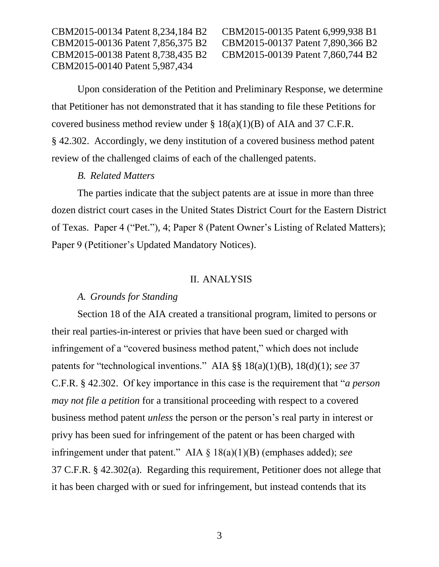CBM2015-00140 Patent 5,987,434

CBM2015-00134 Patent 8,234,184 B2 CBM2015-00135 Patent 6,999,938 B1 CBM2015-00136 Patent 7,856,375 B2 CBM2015-00137 Patent 7,890,366 B2 CBM2015-00138 Patent 8,738,435 B2 CBM2015-00139 Patent 7,860,744 B2

Upon consideration of the Petition and Preliminary Response, we determine that Petitioner has not demonstrated that it has standing to file these Petitions for covered business method review under  $\S$  18(a)(1)(B) of AIA and 37 C.F.R. § 42.302. Accordingly, we deny institution of a covered business method patent review of the challenged claims of each of the challenged patents.

### *B. Related Matters*

The parties indicate that the subject patents are at issue in more than three dozen district court cases in the United States District Court for the Eastern District of Texas. Paper 4 ("Pet."), 4; Paper 8 (Patent Owner's Listing of Related Matters); Paper 9 (Petitioner's Updated Mandatory Notices).

#### II. ANALYSIS

## *A. Grounds for Standing*

Section 18 of the AIA created a transitional program, limited to persons or their real parties-in-interest or privies that have been sued or charged with infringement of a "covered business method patent," which does not include patents for "technological inventions." AIA §§ 18(a)(1)(B), 18(d)(1); *see* 37 C.F.R. § 42.302. Of key importance in this case is the requirement that "*a person may not file a petition* for a transitional proceeding with respect to a covered business method patent *unless* the person or the person's real party in interest or privy has been sued for infringement of the patent or has been charged with infringement under that patent." AIA § 18(a)(1)(B) (emphases added); *see*  37 C.F.R. § 42.302(a). Regarding this requirement, Petitioner does not allege that it has been charged with or sued for infringement, but instead contends that its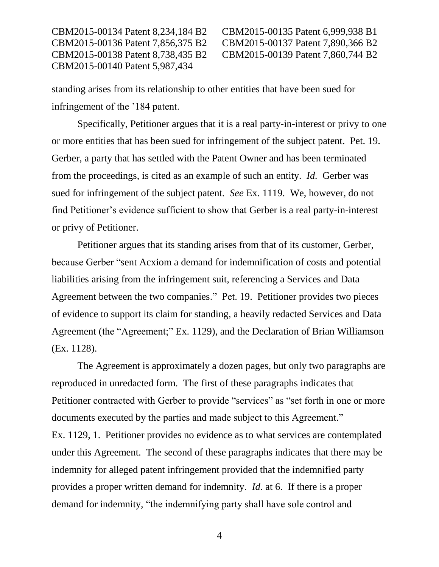CBM2015-00140 Patent 5,987,434

CBM2015-00134 Patent 8,234,184 B2 CBM2015-00135 Patent 6,999,938 B1 CBM2015-00136 Patent 7,856,375 B2 CBM2015-00137 Patent 7,890,366 B2 CBM2015-00138 Patent 8,738,435 B2 CBM2015-00139 Patent 7,860,744 B2

standing arises from its relationship to other entities that have been sued for infringement of the '184 patent.

Specifically, Petitioner argues that it is a real party-in-interest or privy to one or more entities that has been sued for infringement of the subject patent. Pet. 19. Gerber, a party that has settled with the Patent Owner and has been terminated from the proceedings, is cited as an example of such an entity. *Id.* Gerber was sued for infringement of the subject patent. *See* Ex. 1119. We, however, do not find Petitioner's evidence sufficient to show that Gerber is a real party-in-interest or privy of Petitioner.

Petitioner argues that its standing arises from that of its customer, Gerber, because Gerber "sent Acxiom a demand for indemnification of costs and potential liabilities arising from the infringement suit, referencing a Services and Data Agreement between the two companies." Pet. 19. Petitioner provides two pieces of evidence to support its claim for standing, a heavily redacted Services and Data Agreement (the "Agreement;" Ex. 1129), and the Declaration of Brian Williamson (Ex. 1128).

The Agreement is approximately a dozen pages, but only two paragraphs are reproduced in unredacted form. The first of these paragraphs indicates that Petitioner contracted with Gerber to provide "services" as "set forth in one or more documents executed by the parties and made subject to this Agreement." Ex. 1129, 1. Petitioner provides no evidence as to what services are contemplated under this Agreement. The second of these paragraphs indicates that there may be indemnity for alleged patent infringement provided that the indemnified party provides a proper written demand for indemnity. *Id.* at 6. If there is a proper demand for indemnity, "the indemnifying party shall have sole control and

4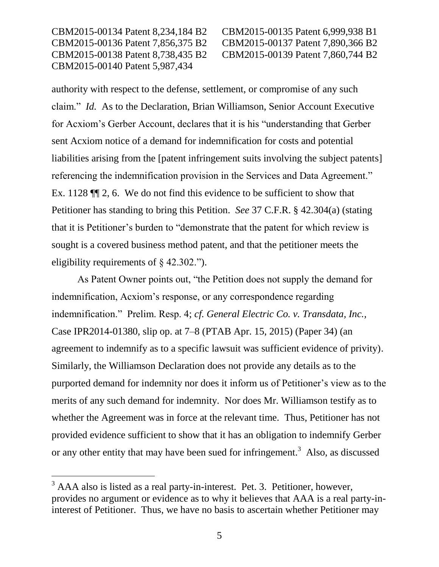CBM2015-00134 Patent 8,234,184 B2 CBM2015-00135 Patent 6,999,938 B1 CBM2015-00136 Patent 7,856,375 B2 CBM2015-00137 Patent 7,890,366 B2 CBM2015-00138 Patent 8,738,435 B2 CBM2015-00139 Patent 7,860,744 B2 CBM2015-00140 Patent 5,987,434

 $\overline{a}$ 

authority with respect to the defense, settlement, or compromise of any such claim." *Id.* As to the Declaration, Brian Williamson, Senior Account Executive for Acxiom's Gerber Account, declares that it is his "understanding that Gerber sent Acxiom notice of a demand for indemnification for costs and potential liabilities arising from the [patent infringement suits involving the subject patents] referencing the indemnification provision in the Services and Data Agreement." Ex. 1128 ¶¶ 2, 6. We do not find this evidence to be sufficient to show that Petitioner has standing to bring this Petition. *See* 37 C.F.R. § 42.304(a) (stating that it is Petitioner's burden to "demonstrate that the patent for which review is sought is a covered business method patent, and that the petitioner meets the eligibility requirements of § 42.302.").

As Patent Owner points out, "the Petition does not supply the demand for indemnification, Acxiom's response, or any correspondence regarding indemnification." Prelim. Resp. 4; *cf. General Electric Co. v. Transdata, Inc.,*  Case IPR2014-01380, slip op. at 7–8 (PTAB Apr. 15, 2015) (Paper 34) (an agreement to indemnify as to a specific lawsuit was sufficient evidence of privity). Similarly, the Williamson Declaration does not provide any details as to the purported demand for indemnity nor does it inform us of Petitioner's view as to the merits of any such demand for indemnity. Nor does Mr. Williamson testify as to whether the Agreement was in force at the relevant time. Thus, Petitioner has not provided evidence sufficient to show that it has an obligation to indemnify Gerber or any other entity that may have been sued for infringement.<sup>3</sup> Also, as discussed

 $3$  AAA also is listed as a real party-in-interest. Pet. 3. Petitioner, however, provides no argument or evidence as to why it believes that AAA is a real party-ininterest of Petitioner. Thus, we have no basis to ascertain whether Petitioner may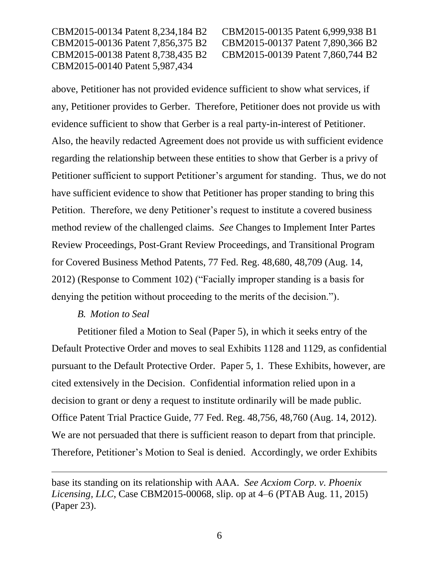CBM2015-00134 Patent 8,234,184 B2 CBM2015-00135 Patent 6,999,938 B1 CBM2015-00136 Patent 7,856,375 B2 CBM2015-00137 Patent 7,890,366 B2 CBM2015-00138 Patent 8,738,435 B2 CBM2015-00139 Patent 7,860,744 B2 CBM2015-00140 Patent 5,987,434

above, Petitioner has not provided evidence sufficient to show what services, if any, Petitioner provides to Gerber. Therefore, Petitioner does not provide us with evidence sufficient to show that Gerber is a real party-in-interest of Petitioner. Also, the heavily redacted Agreement does not provide us with sufficient evidence regarding the relationship between these entities to show that Gerber is a privy of Petitioner sufficient to support Petitioner's argument for standing. Thus, we do not have sufficient evidence to show that Petitioner has proper standing to bring this Petition. Therefore, we deny Petitioner's request to institute a covered business method review of the challenged claims. *See* Changes to Implement Inter Partes Review Proceedings, Post-Grant Review Proceedings, and Transitional Program for Covered Business Method Patents, 77 Fed. Reg. 48,680, 48,709 (Aug. 14, 2012) (Response to Comment 102) ("Facially improper standing is a basis for denying the petition without proceeding to the merits of the decision.").

#### *B. Motion to Seal*

 $\overline{a}$ 

Petitioner filed a Motion to Seal (Paper 5), in which it seeks entry of the Default Protective Order and moves to seal Exhibits 1128 and 1129, as confidential pursuant to the Default Protective Order. Paper 5, 1. These Exhibits, however, are cited extensively in the Decision. Confidential information relied upon in a decision to grant or deny a request to institute ordinarily will be made public. Office Patent Trial Practice Guide, 77 Fed. Reg. 48,756, 48,760 (Aug. 14, 2012). We are not persuaded that there is sufficient reason to depart from that principle. Therefore, Petitioner's Motion to Seal is denied. Accordingly, we order Exhibits

base its standing on its relationship with AAA. *See Acxiom Corp. v. Phoenix Licensing, LLC*, Case CBM2015-00068, slip. op at 4–6 (PTAB Aug. 11, 2015) (Paper 23).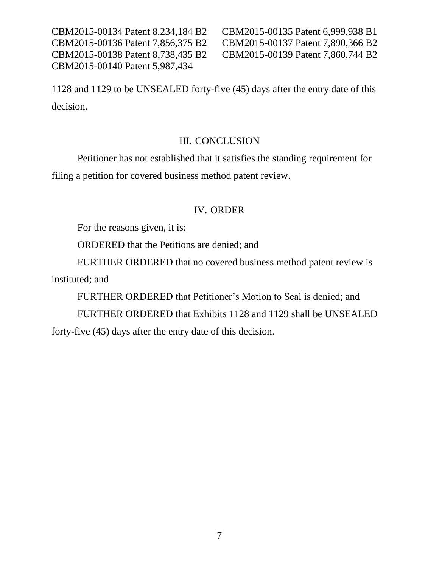CBM2015-00134 Patent 8,234,184 B2 CBM2015-00135 Patent 6,999,938 B1 CBM2015-00140 Patent 5,987,434

CBM2015-00136 Patent 7,856,375 B2 CBM2015-00137 Patent 7,890,366 B2 CBM2015-00138 Patent 8,738,435 B2 CBM2015-00139 Patent 7,860,744 B2

1128 and 1129 to be UNSEALED forty-five (45) days after the entry date of this decision.

### III. CONCLUSION

Petitioner has not established that it satisfies the standing requirement for filing a petition for covered business method patent review.

#### IV. ORDER

For the reasons given, it is:

ORDERED that the Petitions are denied; and

FURTHER ORDERED that no covered business method patent review is instituted; and

FURTHER ORDERED that Petitioner's Motion to Seal is denied; and

FURTHER ORDERED that Exhibits 1128 and 1129 shall be UNSEALED forty-five (45) days after the entry date of this decision.